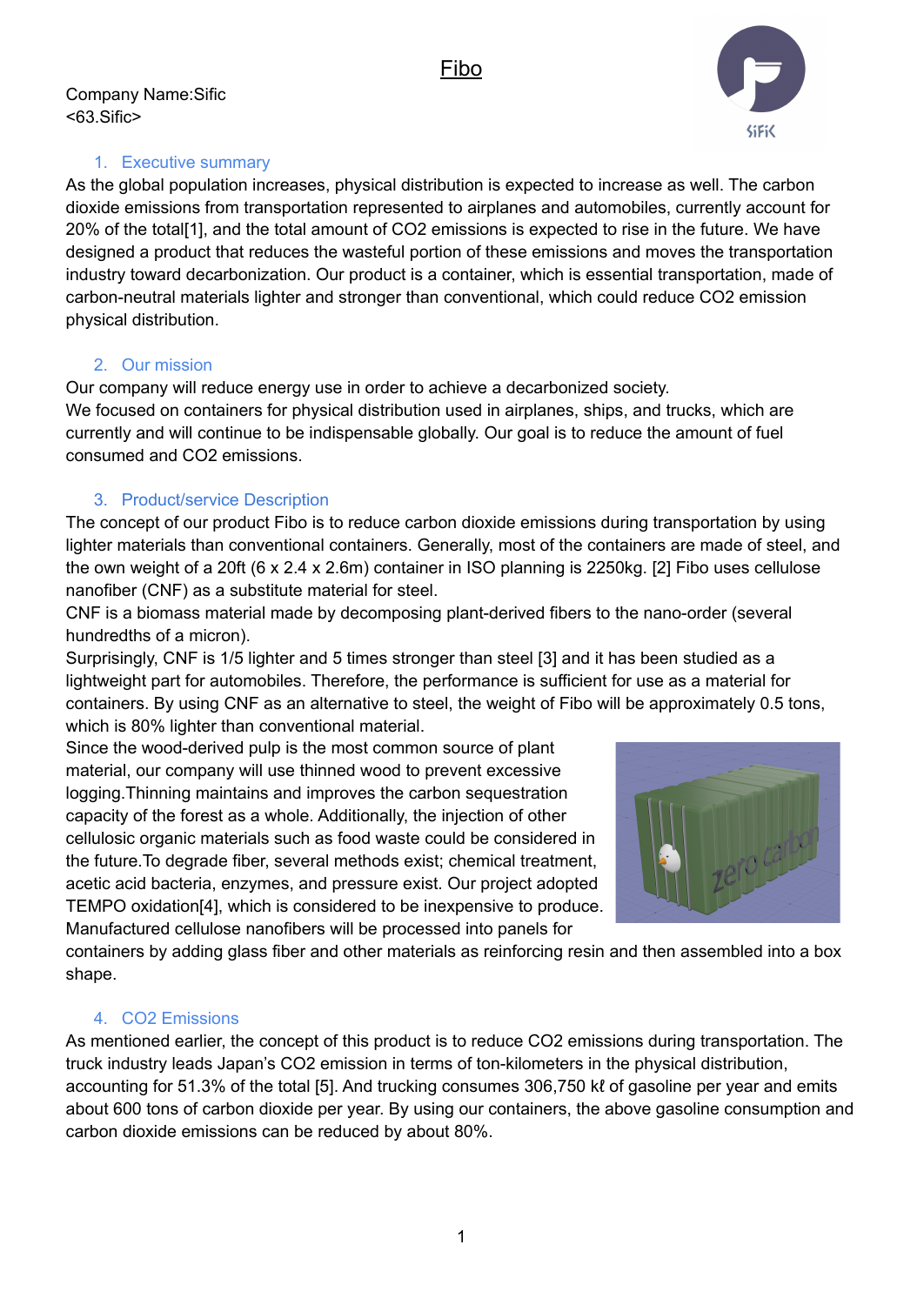

## 1. Executive summary

As the global population increases, physical distribution is expected to increase as well. The carbon dioxide emissions from transportation represented to airplanes and automobiles, currently account for 20% of the total[1], and the total amount of CO2 emissions is expected to rise in the future. We have designed a product that reduces the wasteful portion of these emissions and moves the transportation industry toward decarbonization. Our product is a container, which is essential transportation, made of carbon-neutral materials lighter and stronger than conventional, which could reduce CO2 emission physical distribution.

# 2. Our mission

Our company will reduce energy use in order to achieve a decarbonized society. We focused on containers for physical distribution used in airplanes, ships, and trucks, which are currently and will continue to be indispensable globally. Our goal is to reduce the amount of fuel consumed and CO2 emissions.

# 3. Product/service Description

The concept of our product Fibo is to reduce carbon dioxide emissions during transportation by using lighter materials than conventional containers. Generally, most of the containers are made of steel, and the own weight of a 20ft (6 x 2.4 x 2.6m) container in ISO planning is 2250kg. [2] Fibo uses cellulose nanofiber (CNF) as a substitute material for steel.

CNF is a biomass material made by decomposing plant-derived fibers to the nano-order (several hundredths of a micron).

Surprisingly, CNF is 1/5 lighter and 5 times stronger than steel [3] and it has been studied as a lightweight part for automobiles. Therefore, the performance is sufficient for use as a material for containers. By using CNF as an alternative to steel, the weight of Fibo will be approximately 0.5 tons, which is 80% lighter than conventional material.

Since the wood-derived pulp is the most common source of plant material, our company will use thinned wood to prevent excessive logging.Thinning maintains and improves the carbon sequestration capacity of the forest as a whole. Additionally, the injection of other cellulosic organic materials such as food waste could be considered in the future.To degrade fiber, several methods exist; chemical treatment, acetic acid bacteria, enzymes, and pressure exist. Our project adopted TEMPO oxidation[4], which is considered to be inexpensive to produce. Manufactured cellulose nanofibers will be processed into panels for



containers by adding glass fiber and other materials as reinforcing resin and then assembled into a box shape.

# 4. CO2 Emissions

As mentioned earlier, the concept of this product is to reduce CO2 emissions during transportation. The truck industry leads Japan's CO2 emission in terms of ton-kilometers in the physical distribution, accounting for 51.3% of the total [5]. And trucking consumes 306,750 kℓ of gasoline per year and emits about 600 tons of carbon dioxide per year. By using our containers, the above gasoline consumption and carbon dioxide emissions can be reduced by about 80%.